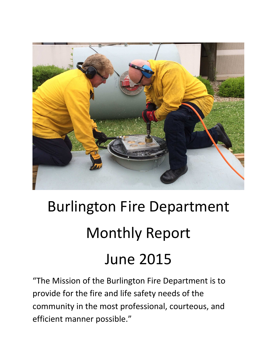

# Burlington Fire Department Monthly Report June 2015

"The Mission of the Burlington Fire Department is to provide for the fire and life safety needs of the community in the most professional, courteous, and efficient manner possible."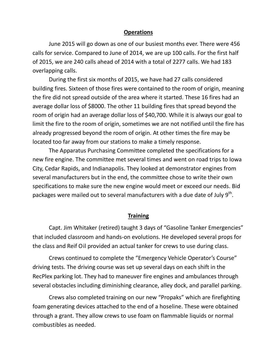#### **Operations**

June 2015 will go down as one of our busiest months ever. There were 456 calls for service. Compared to June of 2014, we are up 100 calls. For the first half of 2015, we are 240 calls ahead of 2014 with a total of 2277 calls. We had 183 overlapping calls.

During the first six months of 2015, we have had 27 calls considered building fires. Sixteen of those fires were contained to the room of origin, meaning the fire did not spread outside of the area where it started. These 16 fires had an average dollar loss of \$8000. The other 11 building fires that spread beyond the room of origin had an average dollar loss of \$40,700. While it is always our goal to limit the fire to the room of origin, sometimes we are not notified until the fire has already progressed beyond the room of origin. At other times the fire may be located too far away from our stations to make a timely response.

The Apparatus Purchasing Committee completed the specifications for a new fire engine. The committee met several times and went on road trips to Iowa City, Cedar Rapids, and Indianapolis. They looked at demonstrator engines from several manufacturers but in the end, the committee chose to write their own specifications to make sure the new engine would meet or exceed our needs. Bid packages were mailed out to several manufacturers with a due date of July  $9^{\text{th}}$ .

#### **Training**

 Capt. Jim Whitaker (retired) taught 3 days of "Gasoline Tanker Emergencies" that included classroom and hands-on evolutions. He developed several props for the class and Reif Oil provided an actual tanker for crews to use during class.

 Crews continued to complete the "Emergency Vehicle Operator's Course" driving tests. The driving course was set up several days on each shift in the RecPlex parking lot. They had to maneuver fire engines and ambulances through several obstacles including diminishing clearance, alley dock, and parallel parking.

 Crews also completed training on our new "Propaks" which are firefighting foam generating devices attached to the end of a hoseline. These were obtained through a grant. They allow crews to use foam on flammable liquids or normal combustibles as needed.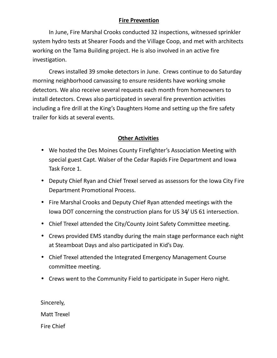### **Fire Prevention**

 In June, Fire Marshal Crooks conducted 32 inspections, witnessed sprinkler system hydro tests at Shearer Foods and the Village Coop, and met with architects working on the Tama Building project. He is also involved in an active fire investigation.

Crews installed 39 smoke detectors in June. Crews continue to do Saturday morning neighborhood canvassing to ensure residents have working smoke detectors. We also receive several requests each month from homeowners to install detectors. Crews also participated in several fire prevention activities including a fire drill at the King's Daughters Home and setting up the fire safety trailer for kids at several events.

#### **Other Activities**

- We hosted the Des Moines County Firefighter's Association Meeting with special guest Capt. Walser of the Cedar Rapids Fire Department and Iowa Task Force 1.
- Deputy Chief Ryan and Chief Trexel served as assessors for the Iowa City Fire Department Promotional Process.
- Fire Marshal Crooks and Deputy Chief Ryan attended meetings with the Iowa DOT concerning the construction plans for US 34/ US 61 intersection.
- Chief Trexel attended the City/County Joint Safety Committee meeting.
- Crews provided EMS standby during the main stage performance each night at Steamboat Days and also participated in Kid's Day.
- Chief Trexel attended the Integrated Emergency Management Course committee meeting.
- Crews went to the Community Field to participate in Super Hero night.

Sincerely, Matt Trexel Fire Chief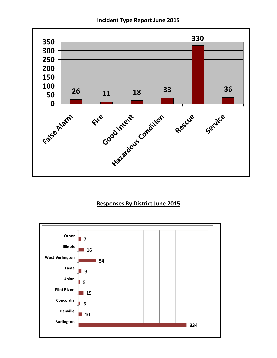**Incident Type Report June 2015** 



### **Responses By District June 2015**